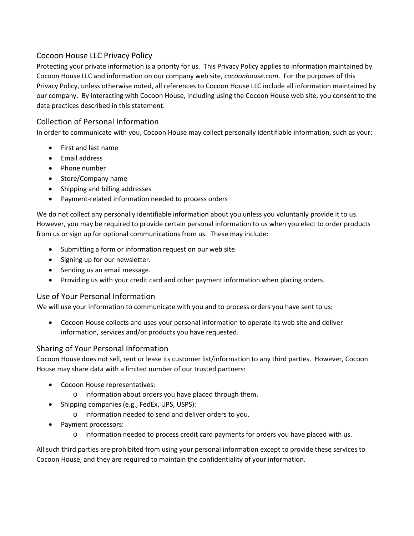# Cocoon House LLC Privacy Policy

Protecting your private information is a priority for us. This Privacy Policy applies to information maintained by Cocoon House LLC and information on our company web site, *cocoonhouse.com*. For the purposes of this Privacy Policy, unless otherwise noted, all references to Cocoon House LLC include all information maintained by our company. By interacting with Cocoon House, including using the Cocoon House web site, you consent to the data practices described in this statement.

# Collection of Personal Information

In order to communicate with you, Cocoon House may collect personally identifiable information, such as your:

- First and last name
- Email address
- Phone number
- Store/Company name
- Shipping and billing addresses
- Payment-related information needed to process orders

We do not collect any personally identifiable information about you unless you voluntarily provide it to us. However, you may be required to provide certain personal information to us when you elect to order products from us or sign up for optional communications from us. These may include:

- Submitting a form or information request on our web site.
- Signing up for our newsletter.
- Sending us an email message.
- Providing us with your credit card and other payment information when placing orders.

### Use of Your Personal Information

We will use your information to communicate with you and to process orders you have sent to us:

• Cocoon House collects and uses your personal information to operate its web site and deliver information, services and/or products you have requested.

#### Sharing of Your Personal Information

Cocoon House does not sell, rent or lease its customer list/information to any third parties. However, Cocoon House may share data with a limited number of our trusted partners:

- Cocoon House representatives:
	- o Information about orders you have placed through them.
- Shipping companies (e.g., FedEx, UPS, USPS):
	- o Information needed to send and deliver orders to you.
- Payment processors:
	- o Information needed to process credit card payments for orders you have placed with us.

All such third parties are prohibited from using your personal information except to provide these services to Cocoon House, and they are required to maintain the confidentiality of your information.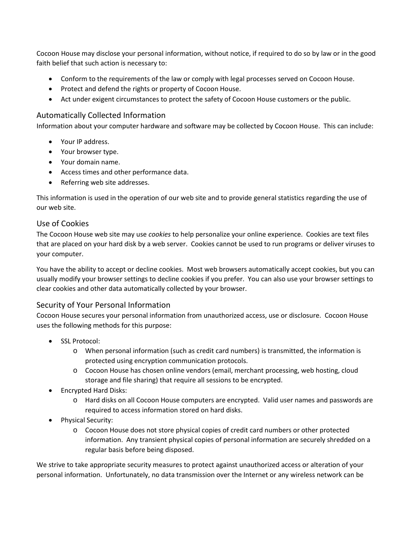Cocoon House may disclose your personal information, without notice, if required to do so by law or in the good faith belief that such action is necessary to:

- Conform to the requirements of the law or comply with legal processes served on Cocoon House.
- Protect and defend the rights or property of Cocoon House.
- Act under exigent circumstances to protect the safety of Cocoon House customers or the public.

#### Automatically Collected Information

Information about your computer hardware and software may be collected by Cocoon House. This can include:

- Your IP address.
- Your browser type.
- Your domain name.
- Access times and other performance data.
- Referring web site addresses.

This information is used in the operation of our web site and to provide general statistics regarding the use of our web site.

#### Use of Cookies

The Cocoon House web site may use *cookies* to help personalize your online experience. Cookies are text files that are placed on your hard disk by a web server. Cookies cannot be used to run programs or deliver viruses to your computer.

You have the ability to accept or decline cookies. Most web browsers automatically accept cookies, but you can usually modify your browser settings to decline cookies if you prefer. You can also use your browser settings to clear cookies and other data automatically collected by your browser.

### Security of Your Personal Information

Cocoon House secures your personal information from unauthorized access, use or disclosure. Cocoon House uses the following methods for this purpose:

- SSL Protocol:
	- o When personal information (such as credit card numbers) is transmitted, the information is protected using encryption communication protocols.
	- o Cocoon House has chosen online vendors (email, merchant processing, web hosting, cloud storage and file sharing) that require all sessions to be encrypted.
- Encrypted Hard Disks:
	- o Hard disks on all Cocoon House computers are encrypted. Valid user names and passwords are required to access information stored on hard disks.
- Physical Security:
	- o Cocoon House does not store physical copies of credit card numbers or other protected information. Any transient physical copies of personal information are securely shredded on a regular basis before being disposed.

We strive to take appropriate security measures to protect against unauthorized access or alteration of your personal information. Unfortunately, no data transmission over the Internet or any wireless network can be